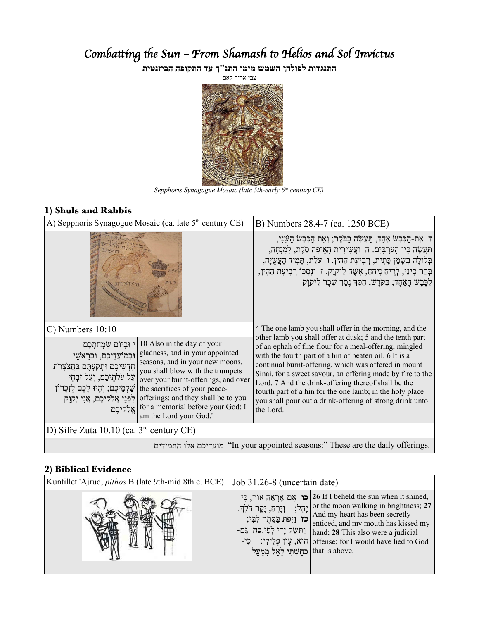# Combatting the Sun - From Shamash to Helios and Sol Invictus

**התנגדות לפולחן השמש מימי התנ"ך עד התקופה הביזנטית**

צבי אריה לאם



*Sepphoris Synagogue Mosaic (late 5th-early 6th century CE)*

#### **1) Shuls and Rabbis**

| A) Sepphoris Synagogue Mosaic (ca. late 5 <sup>th</sup> century CE)                                                                                                                                                                                                                                                                                                                                                                                                                                                                                  | B) Numbers 28.4-7 (ca. 1250 BCE)                                                                                                                                                                                                                                                                                                                                                                                                                                                               |  |
|------------------------------------------------------------------------------------------------------------------------------------------------------------------------------------------------------------------------------------------------------------------------------------------------------------------------------------------------------------------------------------------------------------------------------------------------------------------------------------------------------------------------------------------------------|------------------------------------------------------------------------------------------------------------------------------------------------------------------------------------------------------------------------------------------------------------------------------------------------------------------------------------------------------------------------------------------------------------------------------------------------------------------------------------------------|--|
|                                                                                                                                                                                                                                                                                                                                                                                                                                                                                                                                                      | ּד אֶת-הַכֶּבֶשׂ אֶחָד, תַּעֲשֶׂה בַבֹּקֶר; וְאֵת הַכֶּבֶשׂ הַשֵּׁנִי,<br>תַּעֲשֶׂה בֵּין הָעַרְבָּיִם. הִ וַעֲשִׂירִית הָאֵיפָה סֹלֶת, לְמִנְחָה,<br>בְּלוּלָה בְּשֶׁמֶן כָּתִית, רְבִיעָת הַהִין. ו עֹלַת, תָּמִיד הָעֲשֻׂיָה,<br>בְּהַר סִינַי, לְרֵיחַ נִיחֹחַ, אִשֶּׁה לַיקוָק. ז וְנִסְכּוֹ רְבִיעָת הַהִין,<br>ַלְכֶּבֶשׂ הָאֶחָד; בַּקֹּדֶשׁ, הַסֵּךְ נָסֶךְ שֵׁכָר לַיקוָק                                                                                                            |  |
| $C$ ) Numbers $10:10$                                                                                                                                                                                                                                                                                                                                                                                                                                                                                                                                | 4 The one lamb you shall offer in the morning, and the                                                                                                                                                                                                                                                                                                                                                                                                                                         |  |
| 10 Also in the day of your<br>י וּבִיוֹם שָׂמְחֲתָכֶם<br>gladness, and in your appointed<br>וּבְמוֹעֲדֵיכֶם, וּבְרָאֹשֵׁי<br>seasons, and in your new moons,<br>חָדְשֵׁיכֶם וּתְקַעְתֶּם בַּחֲצֹצְרֹת<br>you shall blow with the trumpets<br>עַל עֹלְתֵיכֶם, וְעַל זְבְחֵי<br>over your burnt-offerings, and over<br>שַׁלְמֵיכֶם; וְהָיוּ לָכֶם לְזִכָּרוֹן<br>the sacrifices of your peace-<br>offerings; and they shall be to you<br>לִפְנֵי אֱלֹקיכֶם, אֲנִי יְקְוָק<br>for a memorial before your God: I<br> אֱלֹקיכֵם<br>am the Lord your God.' | other lamb you shall offer at dusk; 5 and the tenth part<br>of an ephah of fine flour for a meal-offering, mingled<br>with the fourth part of a hin of beaten oil. 6 It is a<br>continual burnt-offering, which was offered in mount<br>Sinai, for a sweet savour, an offering made by fire to the<br>Lord. 7 And the drink-offering thereof shall be the<br>fourth part of a hin for the one lamb; in the holy place<br>you shall pour out a drink-offering of strong drink unto<br>the Lord. |  |
| D) Sifre Zuta 10.10 (ca. 3 <sup>rd</sup> century CE)                                                                                                                                                                                                                                                                                                                                                                                                                                                                                                 |                                                                                                                                                                                                                                                                                                                                                                                                                                                                                                |  |
|                                                                                                                                                                                                                                                                                                                                                                                                                                                                                                                                                      | מועדיכם אלו התמידים ("In your appointed seasons:" These are the daily offerings.                                                                                                                                                                                                                                                                                                                                                                                                               |  |

## **2) Biblical Evidence**

| Kuntillet 'Ajrud, <i>pithos</i> B (late 9th-mid 8th c. BCE) | Job 31.26-8 (uncertain date)                                                                            |                                                                                                                                                                                                                                                                                                                                        |
|-------------------------------------------------------------|---------------------------------------------------------------------------------------------------------|----------------------------------------------------------------------------------------------------------------------------------------------------------------------------------------------------------------------------------------------------------------------------------------------------------------------------------------|
|                                                             | וַיָרָחַ, יָקָר הֹלֵךָ.<br> כז וַיִּפְתְּ בַסֱתֶר לְבִי;<br>  chat is above. קַזָּשָׁתְּי לַאֲל מְמַעֲל | כו אָם-אֶרְאֶה אוֹר, כְּי 26 If I beheld the sun when it shined,<br>ההל; or the moon walking in brightness; $27$<br>And my heart has been secretly<br>enticed, and my mouth has kissed my<br>- הַמָּטֵק יָדִי לְפִי.כֹה גַם   hand; 28 This also were a judicial<br>-הוא, עֲוֹן פִּלְילִי: פִי   offense; for I would have lied to God |